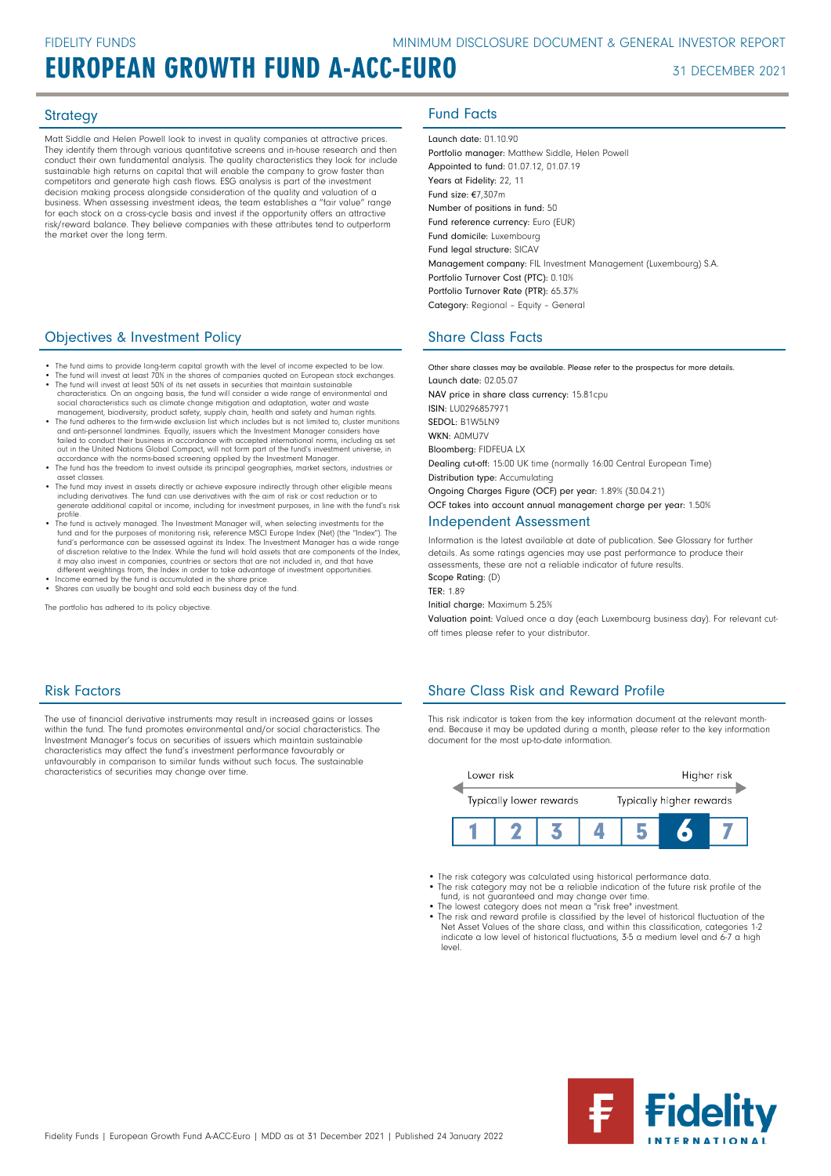Matt Siddle and Helen Powell look to invest in quality companies at attractive prices. They identify them through various quantitative screens and in-house research and then conduct their own fundamental analysis. The quality characteristics they look for include sustainable high returns on capital that will enable the company to grow faster than competitors and generate high cash flows. ESG analysis is part of the investment decision making process alongside consideration of the quality and valuation of a business. When assessing investment ideas, the team establishes a "fair value" range for each stock on a cross-cycle basis and invest if the opportunity offers an attractive risk/reward balance. They believe companies with these attributes tend to outperform the market over the long term.

### **Objectives & Investment Policy Share Class Facts** Share Class Facts

- The fund aims to provide long-term capital growth with the level of income expected to be low.
- The fund will invest at least 70% in the shares of companies quoted on European stock exchanges. The fund will invest at least 50% of its net assets in securities that maintain sustainable
- characteristics. On an ongoing basis, the fund will consider a wide range of environmental and<br>social characteristics such as climate change mitigation and adaptation, water and waste<br>management, biodiversity, product safe and anti-personnel landmines. Equally, issuers which the Investment Manager considers have failed to conduct their business in accordance with accepted international norms, including as set out in the United Nations Global Compact, will not form part of the fund's investment universe, in accordance with the norms-based screening applied by the Investment Manager.
- The fund has the freedom to invest outside its principal geographies, market sectors, industries or asset classes. • The fund may invest in assets directly or achieve exposure indirectly through other eligible means
- including derivatives. The fund can use derivatives with the aim of risk or cost reduction or to generate additional capital or income, including for investment purposes, in line with the fund's risk profile.
- The fund is actively managed. The Investment Manager will, when selecting investments for the fund and for the purposes of monitoring risk, reference MSCI Europe Index (Net) (the "Index"). The fund's performance can be assessed against its Index. The Investment Manager has a wide range<br>of discretion relative to the Index. While the fund will hold assets that are components of the Index,<br>it may also invest in com different weightings from, the Index in order to take advantage of investment opportunities. • Income earned by the fund is accumulated in the share price.
- Shares can usually be bought and sold each business day of the fund.

The portfolio has adhered to its policy objective.

### Strategy **Fund Facts**

Launch date: 01.10.90 Portfolio manager: Matthew Siddle, Helen Powel Appointed to fund: 01.07.12, 01.07.19 Years at Fidelity: 22, 11 Fund size: €7,307m Number of positions in fund: 50 Fund reference currency: Euro (EUR) Fund domicile: Luxembourg Fund legal structure: SICAV Management company: FIL Investment Management (Luxembourg) S.A. Portfolio Turnover Cost (PTC): 0.10% Portfolio Turnover Rate (PTR): 65.37% Category: Regional – Equity – General

Other share classes may be available. Please refer to the prospectus for more details. Launch date: 02.05.07 NAV price in share class currency: 15.81cpu ISIN: LU0296857971 SEDOL: R1W5LN9 WKN· ANMU7V Bloomberg: FIDFEUA LX Dealing cut-off: 15:00 UK time (normally 16:00 Central European Time) Distribution type: Accumulating Ongoing Charges Figure (OCF) per year: 1.89% (30.04.21) OCF takes into account annual management charge per year: 1.50% Independent Assessment

Information is the latest available at date of publication. See Glossary for further details. As some ratings agencies may use past performance to produce their assessments, these are not a reliable indicator of future results. Scope Rating: (D)

TER: 1.89 Initial charge: Maximum 5.25%

Valuation point: Valued once a day (each Luxembourg business day). For relevant cutoff times please refer to your distributor.

### Risk Factors

The use of financial derivative instruments may result in increased gains or losses within the fund. The fund promotes environmental and/or social characteristics. The Investment Manager's focus on securities of issuers which maintain sustainable characteristics may affect the fund's investment performance favourably or unfavourably in comparison to similar funds without such focus. The sustainable characteristics of securities may change over time.

### Share Class Risk and Reward Profile

This risk indicator is taken from the key information document at the relevant monthend. Because it may be updated during a month, please refer to the key information document for the most up-to-date information.



- The risk category was calculated using historical performance data.
- The risk category may not be a reliable indication of the future risk profile of the fund, is not guaranteed and may change over time. The lowest category does not mean a "risk free" investment.
- 
- The risk and reward profile is classified by the level of historical fluctuation of the Net Asset Values of the share class, and within this classification, categories 1-2 indicate a low level of historical fluctuations, 3-5 a medium level and 6-7 a high level.

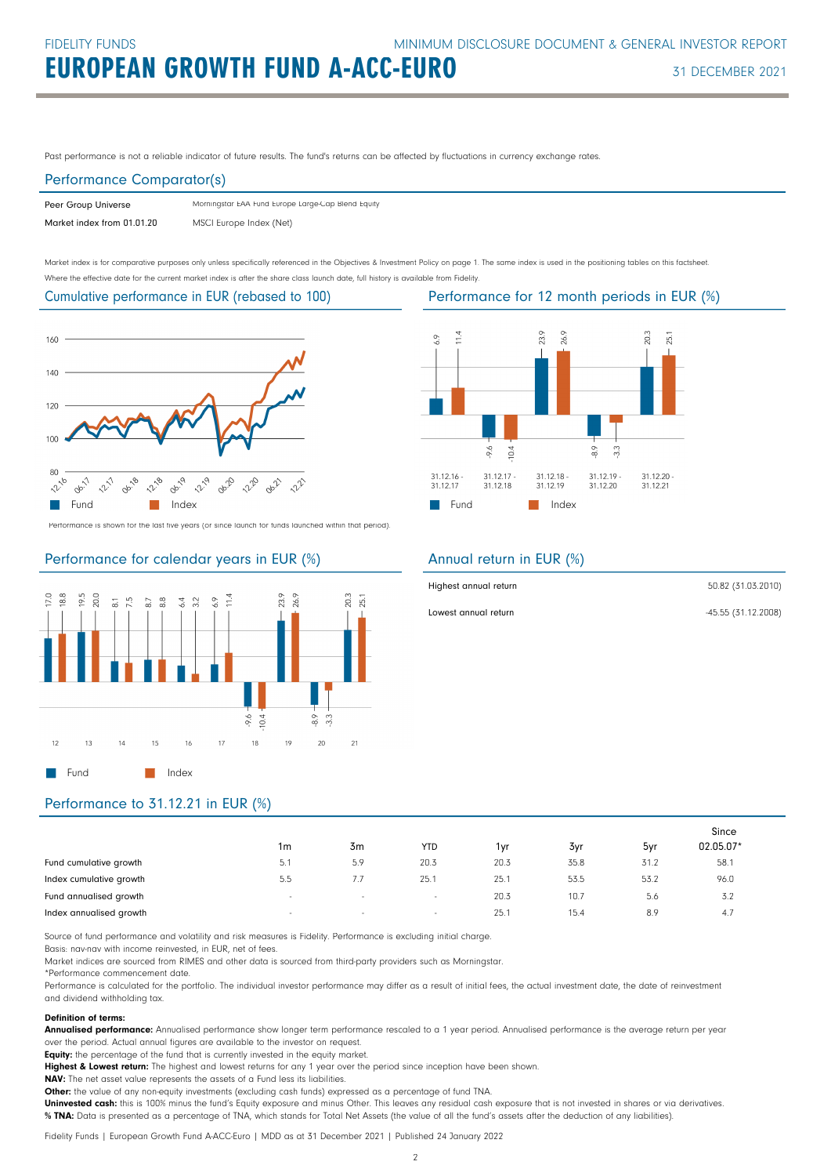Past performance is not a reliable indicator of future results. The fund's returns can be affected by fluctuations in currency exchange rates.

### Performance Comparator(s)

| Peer Group Universe        | Morningstar EAA Fund Europe Large-Cap Blend Equity |
|----------------------------|----------------------------------------------------|
| Market index from 01.01.20 | MSCI Europe Index (Net)                            |

Market index is for comparative purposes only unless specifically referenced in the Objectives & Investment Policy on page 1. The same index is used in the positioning tables on this factsheet. Where the effective date for the current market index is after the share class launch date, full history is available from Fidelity.

Cumulative performance in EUR (rebased to 100)



Performance is shown for the last five years (or since launch for funds launched within that period).

### Performance for calendar years in EUR (%)





Performance for 12 month periods in EUR (%)

### Annual return in EUR (%)

| Highest annual return | 50.82 (31.03.2010)  |
|-----------------------|---------------------|
| Lowest annual return  | -45.55 (31.12.2008) |

### Performance to 31.12.21 in EUR (%)

|                         |                          |        |            |      |      |      | Since     |
|-------------------------|--------------------------|--------|------------|------|------|------|-----------|
|                         | 1m                       | 3m     | <b>YTD</b> | 1yr  | 3yr  | 5yr  | 02.05.07* |
| Fund cumulative growth  | 5.1                      | 5.9    | 20.3       | 20.3 | 35.8 | 31.2 | 58.1      |
| Index cumulative growth | 5.5                      | 7.7    | 25.1       | 25.1 | 53.5 | 53.2 | 96.0      |
| Fund annualised growth  | $\overline{\phantom{a}}$ | $\sim$ | $\sim$     | 20.3 | 10.7 | 5.6  | 3.2       |
| Index annualised growth | $\overline{\phantom{a}}$ | $\sim$ | $\sim$     | 25.7 | 15.4 | 8.9  | 4.7       |

Source of fund performance and volatility and risk measures is Fidelity. Performance is excluding initial charge.

Basis: nav-nav with income reinvested, in EUR, net of fees.

Market indices are sourced from RIMES and other data is sourced from third-party providers such as Morningstar.

\*Performance commencement date.

Performance is calculated for the portfolio. The individual investor performance may differ as a result of initial fees, the actual investment date, the date of reinvestment and dividend withholding tax.

### Definition of terms:

Annualised performance: Annualised performance show longer term performance rescaled to a 1 year period. Annualised performance is the average return per year over the period. Actual annual figures are available to the investor on request.

Equity: the percentage of the fund that is currently invested in the equity market.

Highest & Lowest return: The highest and lowest returns for any 1 year over the period since inception have been shown.

NAV: The net asset value represents the assets of a Fund less its liabilities.

Other: the value of any non-equity investments (excluding cash funds) expressed as a percentage of fund TNA.

Uninvested cash: this is 100% minus the fund's Equity exposure and minus Other. This leaves any residual cash exposure that is not invested in shares or via derivatives. % TNA: Data is presented as a percentage of TNA, which stands for Total Net Assets (the value of all the fund's assets after the deduction of any liabilities).

Fidelity Funds | European Growth Fund A-ACC-Euro | MDD as at 31 December 2021 | Published 24 January 2022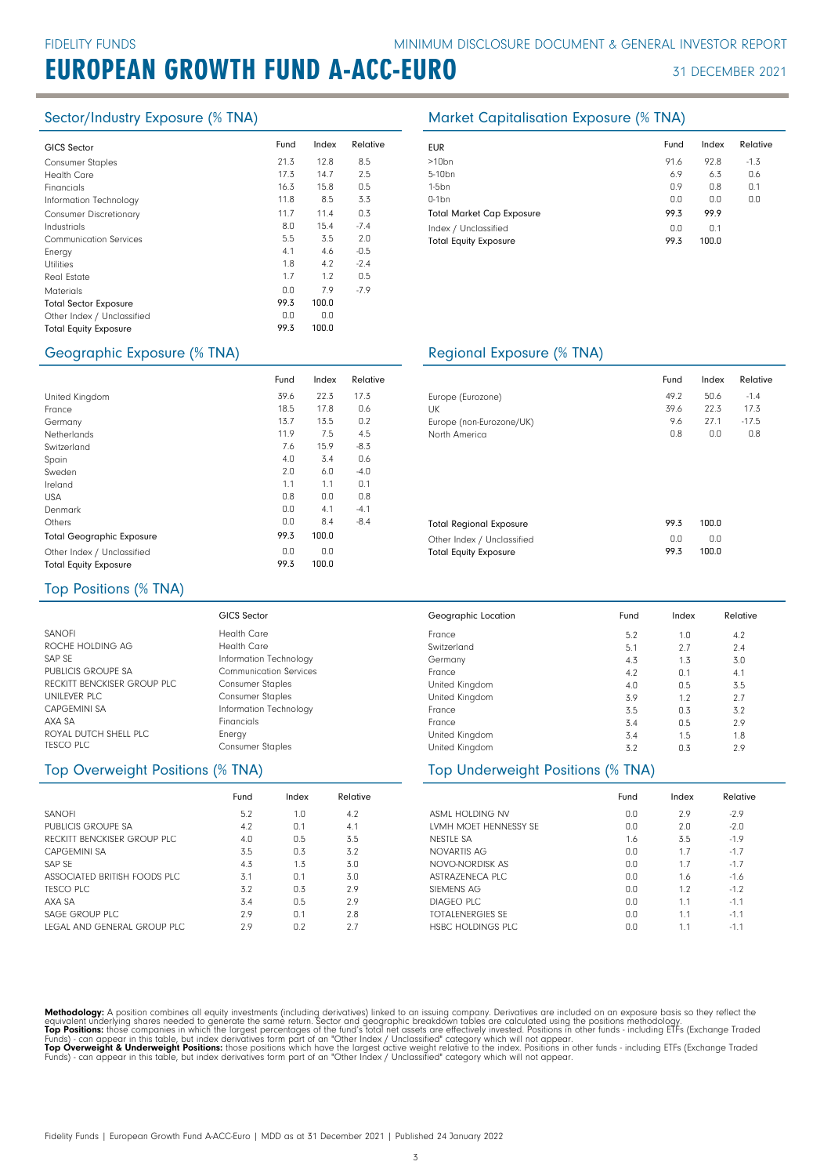| <b>GICS Sector</b>            | Fund | Index | Relative |
|-------------------------------|------|-------|----------|
| <b>Consumer Staples</b>       | 21.3 | 12.8  | 8.5      |
| <b>Health Care</b>            | 17.3 | 14.7  | 2.5      |
| Financials                    | 16.3 | 15.8  | 0.5      |
| Information Technology        | 11.8 | 8.5   | 3.3      |
| <b>Consumer Discretionary</b> | 11.7 | 11.4  | 0.3      |
| Industrials                   | 8.0  | 15.4  | $-7.4$   |
| <b>Communication Services</b> | 5.5  | 3.5   | 2.0      |
| Energy                        | 4.1  | 4.6   | $-0.5$   |
| <b>Utilities</b>              | 1.8  | 4.2   | $-2.4$   |
| Real Estate                   | 1.7  | 1.2   | 0.5      |
| <b>Materials</b>              | 0.0  | 7.9   | $-7.9$   |
| <b>Total Sector Exposure</b>  | 99.3 | 100.0 |          |
| Other Index / Unclassified    | 0.0  | 0.0   |          |
| <b>Total Equity Exposure</b>  | 99.3 | 100.0 |          |
|                               |      |       |          |

### Sector/Industry Exposure (% TNA) Market Capitalisation Exposure (% TNA)

| <b>EUR</b>                                           | Fund        | Index        | Relative |
|------------------------------------------------------|-------------|--------------|----------|
| $>10$ bn                                             | 91.6        | 92.8         | $-1.3$   |
| 5-10 <sub>bn</sub>                                   | 6.9         | 6.3          | 0.6      |
| $1-5bn$                                              | 0.9         | 0.8          | 0.1      |
| $0-1$ bn                                             | 0.0         | 0.0          | 0.0      |
| <b>Total Market Cap Exposure</b>                     | 99.3        | 99.9         |          |
| Index / Unclassified<br><b>Total Equity Exposure</b> | 0.0<br>99.3 | 0.1<br>100.0 |          |

### Geographic Exposure (% TNA) Regional Exposure (% TNA)

|                                  | Fund | Index | Relative |                |
|----------------------------------|------|-------|----------|----------------|
| United Kingdom                   | 39.6 | 22.3  | 17.3     | Europe         |
| France                           | 18.5 | 17.8  | 0.6      | UK             |
| Germany                          | 13.7 | 13.5  | 0.2      | Europe         |
| <b>Netherlands</b>               | 11.9 | 7.5   | 4.5      | North          |
| Switzerland                      | 7.6  | 15.9  | $-8.3$   |                |
| Spain                            | 4.0  | 3.4   | 0.6      |                |
| Sweden                           | 2.0  | 6.0   | $-4.0$   |                |
| Ireland                          | 1.1  | 1.1   | 0.1      |                |
| <b>USA</b>                       | 0.8  | 0.0   | 0.8      |                |
| Denmark                          | 0.0  | 4.1   | $-4.1$   |                |
| Others                           | 0.0  | 8.4   | $-8.4$   | Total F        |
| <b>Total Geographic Exposure</b> | 99.3 | 100.0 |          | Other          |
| Other Index / Unclassified       | 0.0  | 0.0   |          | Total <b>E</b> |
| <b>Total Equity Exposure</b>     | 99.3 | 100.0 |          |                |

|                          | Fund | Index | Relative |
|--------------------------|------|-------|----------|
| Europe (Eurozone)        | 49.2 | 50.6  | $-14$    |
| UK                       | 39.6 | 22.3  | 17.3     |
| Europe (non-Eurozone/UK) | 9.6  | 27.1  | $-17.5$  |
| North America            | 0.8  | 0.0   | 0.8      |
|                          |      |       |          |

| <b>Total Regional Exposure</b> | 99.3 | 100.0 |
|--------------------------------|------|-------|
| Other Index / Unclassified     | n n  | 0.0   |
| <b>Total Equity Exposure</b>   | 99.3 | 100.0 |

### Top Positions (% TNA)

|                             | GICS Sector                   | Geographic Location | Fund | Index | Relative |
|-----------------------------|-------------------------------|---------------------|------|-------|----------|
| <b>SANOFI</b>               | <b>Health Care</b>            | France              | 5.2  | 1.0   | 4.2      |
| ROCHE HOLDING AG            | <b>Health Care</b>            | Switzerland         | 5.1  | 2.7   | 2.4      |
| SAP SE                      | Information Technology        | Germany             | 4.3  | 1.3   | 3.0      |
| PUBLICIS GROUPE SA          | <b>Communication Services</b> | France              | 4.2  | 0.1   | 4.1      |
| RECKITT BENCKISER GROUP PLC | <b>Consumer Staples</b>       | United Kingdom      | 4.0  | 0.5   | 3.5      |
| UNILEVER PLC                | <b>Consumer Staples</b>       | United Kingdom      | 3.9  | 1.2   | 2.7      |
| <b>CAPGEMINI SA</b>         | Information Technology        | France              | 3.5  | 0.3   | 3.2      |
| AXA SA                      | Financials                    | France              | 3.4  | 0.5   | 2.9      |
| ROYAL DUTCH SHELL PLC       | Energy                        | United Kingdom      | 3.4  | 1.5   | 1.8      |
| TESCO PLC                   | <b>Consumer Staples</b>       | United Kingdom      | 3.2  | 0.3   | 2.9      |

### Top Overweight Positions (% TNA)

|                               | Fund | Index | Relative |
|-------------------------------|------|-------|----------|
| <b>SANOFI</b>                 | 5.2  | 1.0   | 4.2      |
| PUBLICIS GROUPE SA            | 4.2  | 0.1   | 4.1      |
| RECKITT BENCKISER GROUP PLC   | 4.0  | 0.5   | 3.5      |
| CAPGEMINI SA                  | 3.5  | 0.3   | 3.2      |
| SAP SF                        | 4.3  | 1.3   | 3.0      |
| ASSOCIATED BRITISH FOODS PLC. | 3.1  | 0.1   | 3.0      |
| TESCO PLC                     | 3.2  | 0.3   | 2.9      |
| AXA SA                        | 3.4  | 0.5   | 2.9      |
| SAGE GROUP PLC                | 29   | 0.1   | 2.8      |
| LEGAL AND GENERAL GROUP PLC   | 2.9  | 0.2   | 27       |

|                                   | .   | ັ   | ັ   |
|-----------------------------------|-----|-----|-----|
| United Kingdom                    | 3.9 | 1.2 | 2.7 |
| France                            | 3.5 | 0.3 | 3.2 |
| France                            | 3.4 | 0.5 | 2.9 |
| United Kingdom                    | 3.4 | 1.5 | 1.8 |
| United Kingdom                    | 3.2 | 0.3 | 2.9 |
| Top Underweight Positions (% TNA) |     |     |     |
|                                   |     |     |     |

|                         | Fund | Index | Relative |
|-------------------------|------|-------|----------|
| ASML HOLDING NV         | 0.0  | 2.9   | $-2.9$   |
| LVMH MOFT HENNESSY SF   | 0.0  | 2.0   | $-2.0$   |
| NESTLE SA               | 1.6  | 3.5   | $-1.9$   |
| NOVARTIS AG             | 0.0  | 1.7   | $-1.7$   |
| NOVO-NORDISK AS         | 0.0  | 1.7   | $-1.7$   |
| ASTRAZENECA PLC         | 0.0  | 1.6   | $-1.6$   |
| SIFMENS AG              | 0.0  | 1.2   | $-1.2$   |
| DIAGFO PLC              | 0.0  | 1.1   | $-1.1$   |
| <b>TOTALENERGIES SE</b> | 0.0  | 1.1   | $-1.1$   |
| HSBC HOLDINGS PLC       | 0.0  | 1.1   | $-1.1$   |

Methodology: A position combines all equity investments (including derivatives) linked to an issuing company. Derivatives are included on an exposure basis so they reflect the<br>equivalent underlying shares needed to generat